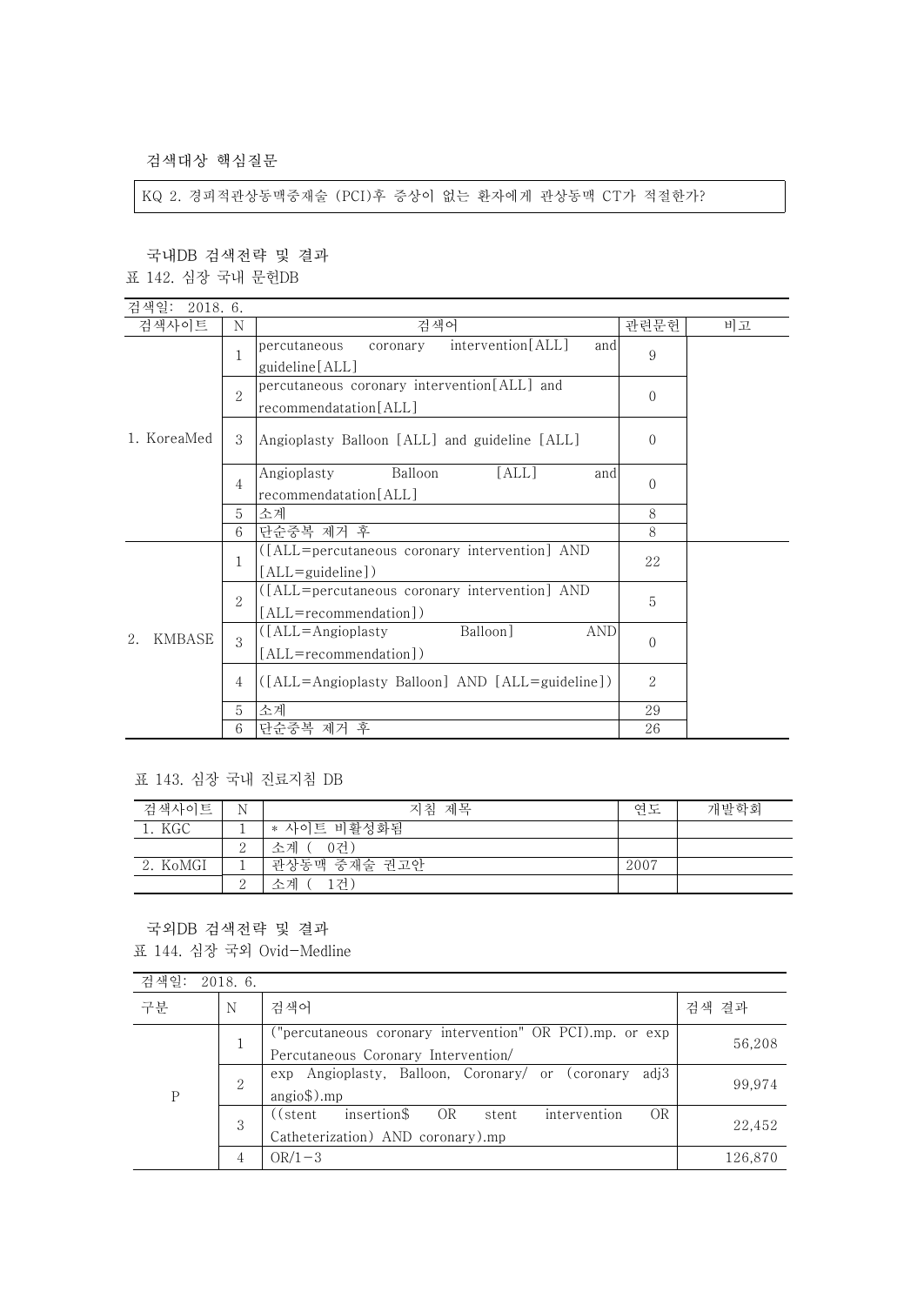검색대상 핵심질문

KQ 2. 경피적관상동맥중재술 (PCI)후 증상이 없는 환자에게 관상동맥 CT가 적절한가?

국내DB 검색전략 및 결과

표 142. 심장 국내 문헌DB

| 검색일:<br>2018. 6.  |               |                                                                            |                |    |
|-------------------|---------------|----------------------------------------------------------------------------|----------------|----|
| 검색사이트             | N             | 검색어                                                                        | 관련문헌           | 비고 |
| 1. KoreaMed       |               | intervention[ALL]<br>percutaneous<br>coronary<br>and<br>guideline [ALL]    | 9              |    |
|                   | $\mathcal{D}$ | percutaneous coronary intervention[ALL] and<br>recommendatation[ALL]       | $\Omega$       |    |
|                   | 3             | Angioplasty Balloon [ALL] and guideline [ALL]                              | $\Omega$       |    |
|                   | 4             | Angioplasty<br>[ALL]<br>Balloon<br>and<br>recommendatation[ALL]            | $\Omega$       |    |
|                   | 5             | 소계                                                                         | 8              |    |
|                   | 6             | 단순중복 제거 후                                                                  | 8              |    |
| KMBASE<br>$2^{1}$ | 1             | ([ALL=percutaneous coronary intervention] AND<br>$[ALL = \{quideline]\}$   | 22             |    |
|                   | $\mathbf{2}$  | ([ALL=percutaneous coronary intervention] AND<br>[ALL=recommendation])     | 5              |    |
|                   | 3             | Balloon]<br>$(LALL = Angioplast y)$<br><b>AND</b><br>[ALL=recommendation]) | $\Omega$       |    |
|                   | 4             | ([ALL=Angioplasty Balloon] AND [ALL=guideline])                            | $\overline{2}$ |    |
|                   | 5             | 소계                                                                         | 29             |    |
|                   | 6             | 단순중복 제거 후                                                                  | 26             |    |

표 143. 심장 국내 진료지침 DB

| 검색사이트    | Ν        | 지침 제목        | 연도   | 개발학회 |
|----------|----------|--------------|------|------|
| 1. KGC   |          | * 사이트 비활성화됨  |      |      |
|          | $\Omega$ | 소계<br>-0건)   |      |      |
| 2. KoMGI |          | 관상동맥 중재술 권고안 | 2007 |      |
|          | $\Omega$ | 소계<br>1건     |      |      |

국외DB 검색전략 및 결과

표 144. 심장 국외 Ovid-Medline

| 검색일: | 2018.6.        |                                                                                                   |         |
|------|----------------|---------------------------------------------------------------------------------------------------|---------|
| 구분   | N              | 검색어                                                                                               | 검색 결과   |
| Ρ    | 1              | ("percutaneous coronary intervention" OR PCI).mp. or exp<br>Percutaneous Coronary Intervention/   | 56,208  |
|      | $\overline{2}$ | exp Angioplasty, Balloon, Coronary/ or (coronary<br>adi3<br>$angio$ \$).mp                        | 99.974  |
|      | 3              | OR<br>insertion\$<br>OR<br>intervention<br>((stent)<br>stent<br>Catheterization) AND coronary).mp | 22,452  |
|      |                | $OR/1-3$                                                                                          | 126,870 |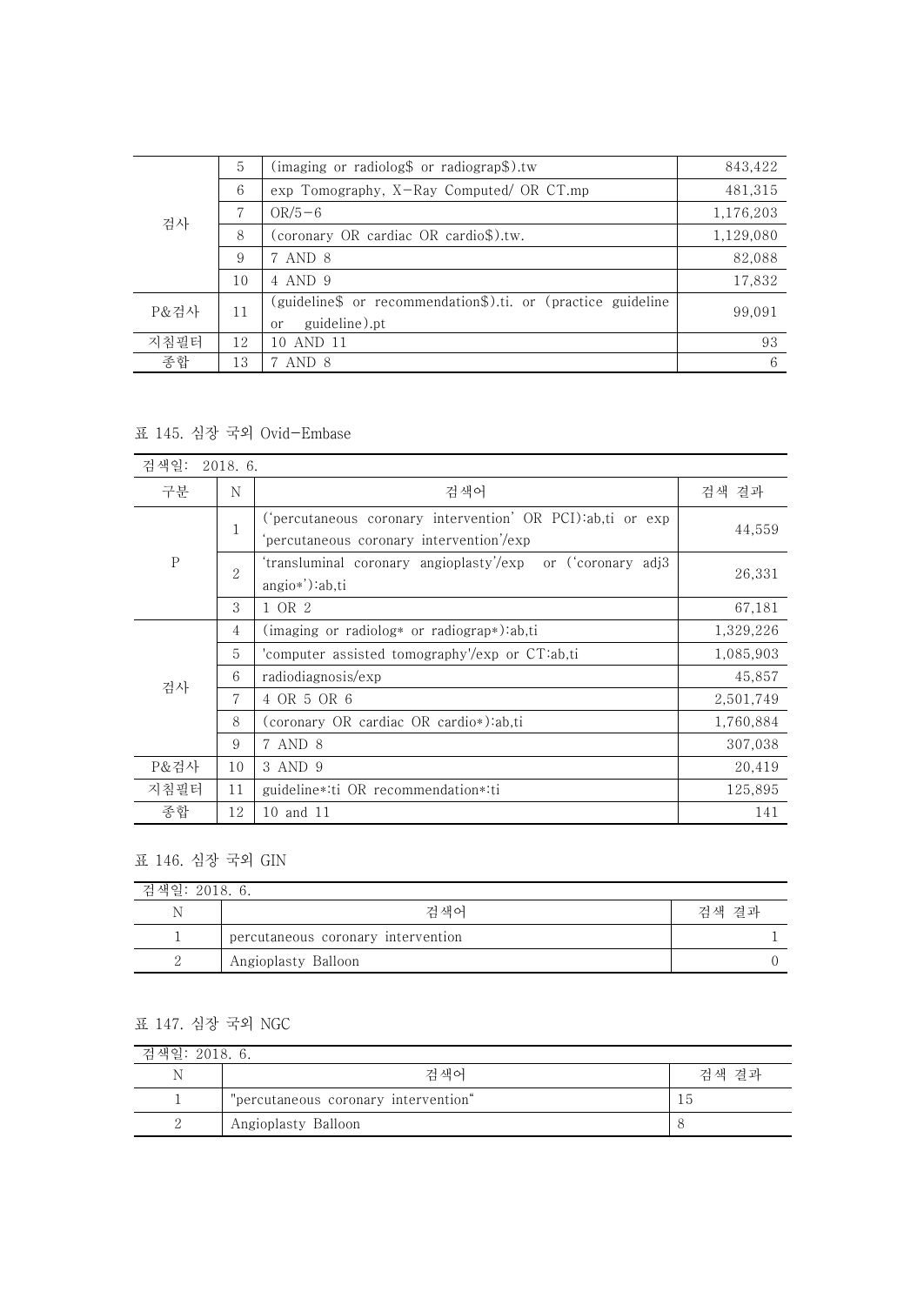| 검사   | 5  | (imaging or radiolog\$ or radiograp\$).tw                                           | 843,422   |
|------|----|-------------------------------------------------------------------------------------|-----------|
|      | 6  | $\exp$ Tomography, X-Ray Computed/ OR CT.mp                                         | 481,315   |
|      | 7  | $OR/5-6$                                                                            | 1,176,203 |
|      | 8  | (coronary OR cardiac OR cardio\$).tw.                                               | 1,129,080 |
|      | 9  | 7 AND 8                                                                             | 82,088    |
|      | 10 | 4 AND 9                                                                             | 17,832    |
| P&검사 | 11 | (guideline\$ or recommendation\$).ti. or (practice guideline<br>guideline).pt<br>or | 99,091    |
| 지침필터 | 12 | 10 AND 11                                                                           | 93        |
| 종합   | 13 | 7 AND 8                                                                             | 6         |

## 표 145. 심장 국외 Ovid-Embase

| 검색일:      | 2018. 6. |                |                                                                                                        |           |
|-----------|----------|----------------|--------------------------------------------------------------------------------------------------------|-----------|
| 구분        |          | N              | 검색어                                                                                                    | 검색 결과     |
| ${\bf P}$ |          | $\mathbf{1}$   | ('percutaneous coronary intervention' OR PCI):ab,ti or exp<br>'percutaneous coronary intervention'/exp | 44,559    |
|           |          | $\overline{2}$ | 'transluminal coronary angioplasty'/exp or ('coronary adj3<br>$angio*$ '): $ab, ti$                    | 26,331    |
|           |          | 3              | 1 OR 2                                                                                                 | 67,181    |
|           |          | 4              | $(\text{imaging or radiolog* or radiograph})$ :ab,ti                                                   | 1,329,226 |
|           |          | 5              | 'computer assisted tomography'/exp or CT:ab,ti                                                         | 1,085,903 |
| 검사        |          | 6              | radiodiagnosis/exp                                                                                     | 45,857    |
|           |          | 7              | 4 OR 5 OR 6                                                                                            | 2,501,749 |
|           |          | 8              | (coronary OR cardiac OR cardio*):ab,ti                                                                 | 1,760,884 |
|           |          | 9              | 7 AND 8                                                                                                | 307,038   |
| P&검사      |          | 10             | 3 AND 9                                                                                                | 20,419    |
| 지침필터      |          | 11             | guideline *: ti OR recommendation *: ti                                                                | 125,895   |
| 종합        |          | 12             | 10 and 11                                                                                              | 141       |

## 표 146. 심장 국외 GIN

| 검색일: 2018. 6. |                                    |       |  |  |
|---------------|------------------------------------|-------|--|--|
| Ν             | <u> 거 새</u> 어                      | 검색 결과 |  |  |
|               | percutaneous coronary intervention |       |  |  |
|               | Angioplasty Balloon                |       |  |  |

## 표 147. 심장 국외 NGC

| 검색일: 2018. 6. |                                      |       |  |  |
|---------------|--------------------------------------|-------|--|--|
| Ν             | <u> 거 새</u> 어                        | 검색 결과 |  |  |
|               | "percutaneous coronary intervention" |       |  |  |
|               | Angioplasty Balloon                  |       |  |  |